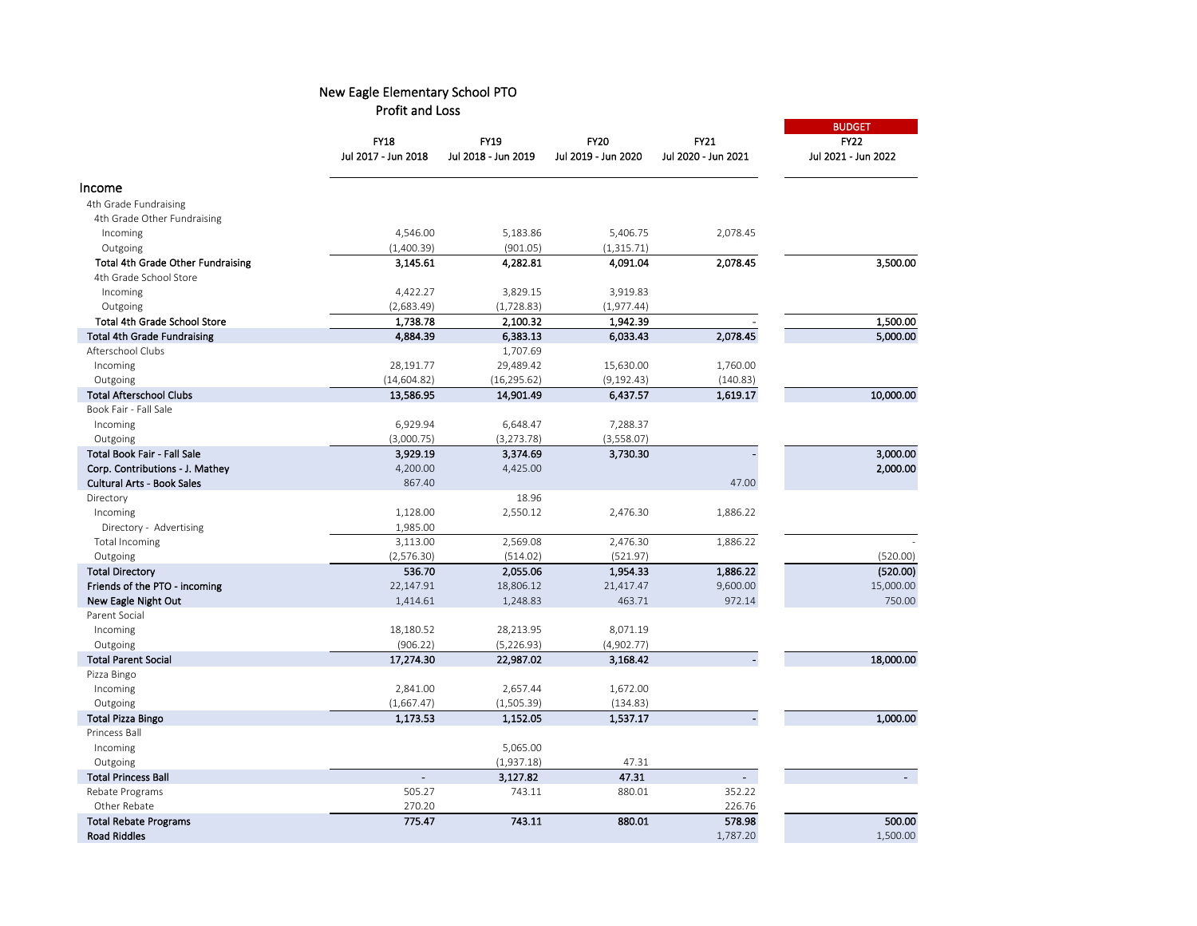|                                          | <b>FY18</b>         | <b>FY19</b>             | <b>FY20</b>            | FY21                | <b>BUDGET</b><br><b>FY22</b> |
|------------------------------------------|---------------------|-------------------------|------------------------|---------------------|------------------------------|
|                                          |                     |                         |                        |                     |                              |
|                                          | Jul 2017 - Jun 2018 | Jul 2018 - Jun 2019     | Jul 2019 - Jun 2020    | Jul 2020 - Jun 2021 | Jul 2021 - Jun 2022          |
| Income                                   |                     |                         |                        |                     |                              |
| 4th Grade Fundraising                    |                     |                         |                        |                     |                              |
| 4th Grade Other Fundraising              |                     |                         |                        |                     |                              |
| Incoming                                 | 4,546.00            | 5,183.86                | 5,406.75               | 2,078.45            |                              |
| Outgoing                                 | (1,400.39)          | (901.05)                | (1, 315.71)            |                     |                              |
| <b>Total 4th Grade Other Fundraising</b> | 3,145.61            | 4,282.81                | 4,091.04               | 2,078.45            | 3,500.00                     |
| 4th Grade School Store                   |                     |                         |                        |                     |                              |
| Incoming                                 | 4,422.27            | 3,829.15                | 3,919.83               |                     |                              |
| Outgoing                                 | (2,683.49)          | (1, 728.83)             | (1,977.44)             |                     |                              |
| Total 4th Grade School Store             | 1,738.78            | 2,100.32                | 1,942.39               |                     | 1,500.00                     |
| <b>Total 4th Grade Fundraising</b>       | 4,884.39            | 6,383.13                | 6,033.43               | 2,078.45            | 5,000.00                     |
| Afterschool Clubs                        |                     | 1,707.69                |                        |                     |                              |
| Incoming                                 | 28,191.77           | 29,489.42               | 15,630.00              | 1,760.00            |                              |
| Outgoing                                 | (14, 604.82)        | (16, 295.62)            | (9, 192.43)            | (140.83)            |                              |
| <b>Total Afterschool Clubs</b>           | 13,586.95           | 14,901.49               | 6,437.57               | 1,619.17            | 10,000.00                    |
| Book Fair - Fall Sale                    |                     |                         |                        |                     |                              |
| Incoming                                 | 6,929.94            | 6,648.47                | 7,288.37               |                     |                              |
|                                          |                     |                         |                        |                     |                              |
| Outgoing<br>Total Book Fair - Fall Sale  | (3,000.75)          | (3, 273.78)<br>3,374.69 | (3,558.07)<br>3,730.30 |                     | 3,000.00                     |
|                                          | 3,929.19            |                         |                        |                     |                              |
| Corp. Contributions - J. Mathey          | 4,200.00            | 4,425.00                |                        |                     | 2,000.00                     |
| <b>Cultural Arts - Book Sales</b>        | 867.40              |                         |                        | 47.00               |                              |
| Directory                                |                     | 18.96                   |                        |                     |                              |
| Incoming                                 | 1,128.00            | 2,550.12                | 2,476.30               | 1,886.22            |                              |
| Directory - Advertising                  | 1,985.00            |                         |                        |                     |                              |
| Total Incoming                           | 3,113.00            | 2,569.08                | 2,476.30               | 1,886.22            |                              |
| Outgoing                                 | (2,576.30)          | (514.02)                | (521.97)               |                     | (520.00)                     |
| <b>Total Directory</b>                   | 536.70              | 2,055.06                | 1,954.33               | 1,886.22            | (520.00)                     |
| Friends of the PTO - incoming            | 22,147.91           | 18,806.12               | 21,417.47              | 9,600.00            | 15,000.00                    |
| New Eagle Night Out                      | 1,414.61            | 1,248.83                | 463.71                 | 972.14              | 750.00                       |
| Parent Social                            |                     |                         |                        |                     |                              |
| Incoming                                 | 18,180.52           | 28,213.95               | 8,071.19               |                     |                              |
| Outgoing                                 | (906.22)            | (5, 226.93)             | (4,902.77)             |                     |                              |
| <b>Total Parent Social</b>               | 17,274.30           | 22,987.02               | 3,168.42               |                     | 18,000.00                    |
| Pizza Bingo                              |                     |                         |                        |                     |                              |
| Incoming                                 | 2,841.00            | 2,657.44                | 1,672.00               |                     |                              |
| Outgoing                                 | (1,667.47)          | (1, 505.39)             | (134.83)               |                     |                              |
| Total Pizza Bingo                        | 1,173.53            | 1,152.05                | 1,537.17               |                     | 1,000.00                     |
| <b>Princess Ball</b>                     |                     |                         |                        |                     |                              |
| Incoming                                 |                     | 5,065.00                |                        |                     |                              |
| Outgoing                                 |                     | (1,937.18)              | 47.31                  |                     |                              |
| <b>Total Princess Ball</b>               | $\blacksquare$      | 3,127.82                | 47.31                  | $\sim$              |                              |
| Rebate Programs                          | 505.27              | 743.11                  | 880.01                 | 352.22              |                              |
| Other Rebate                             | 270.20              |                         |                        | 226.76              |                              |
| <b>Total Rebate Programs</b>             | 775.47              | 743.11                  | 880.01                 | 578.98              | 500.00                       |
| <b>Road Riddles</b>                      |                     |                         |                        | 1,787.20            | 1,500.00                     |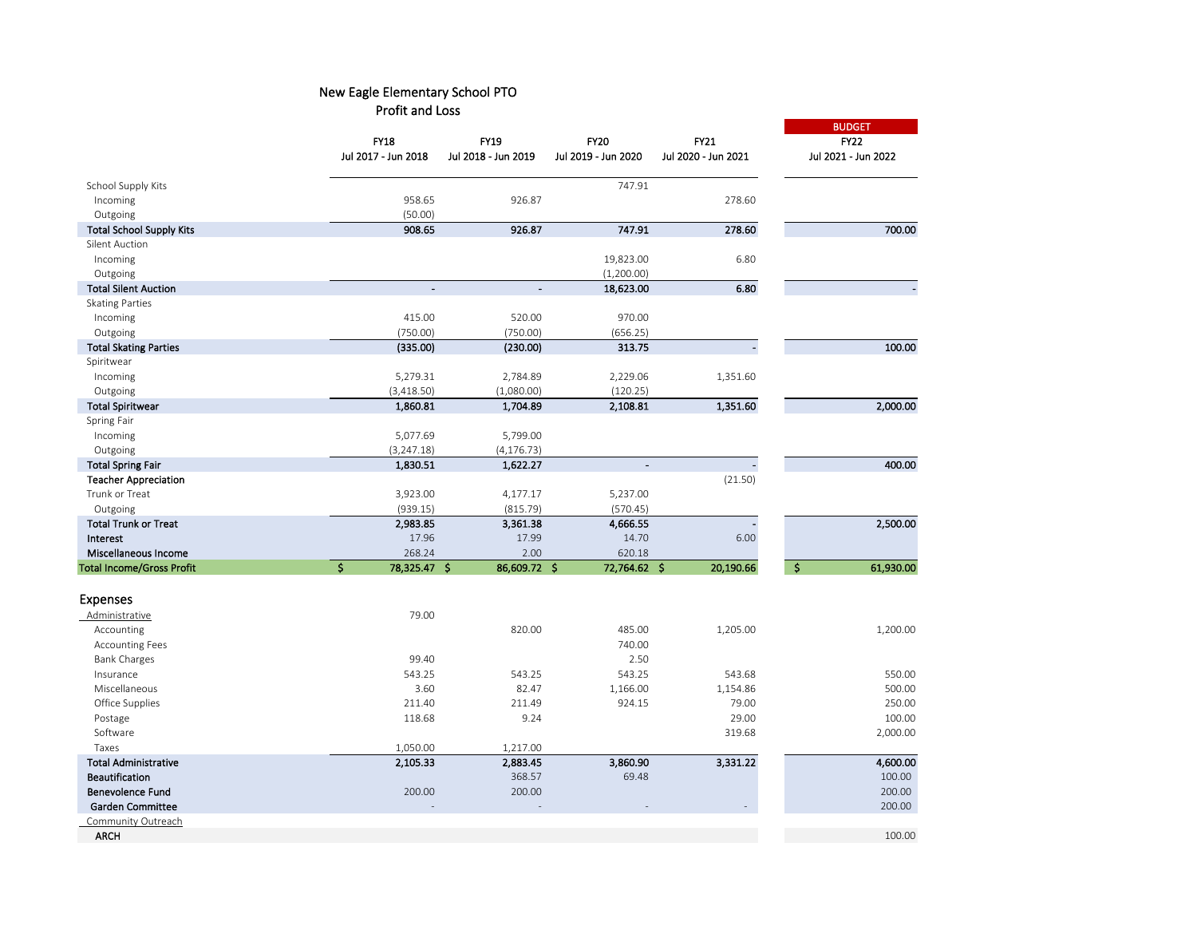|                                  |                     | <b>FY19</b>         | <b>FY20</b>         | FY21                     | <b>BUDGET</b>                        |  |
|----------------------------------|---------------------|---------------------|---------------------|--------------------------|--------------------------------------|--|
|                                  | <b>FY18</b>         |                     |                     |                          | <b>FY22</b>                          |  |
|                                  | Jul 2017 - Jun 2018 | Jul 2018 - Jun 2019 | Jul 2019 - Jun 2020 | Jul 2020 - Jun 2021      | Jul 2021 - Jun 2022                  |  |
| School Supply Kits               |                     |                     | 747.91              |                          |                                      |  |
| Incoming                         | 958.65              | 926.87              |                     | 278.60                   |                                      |  |
| Outgoing                         | (50.00)             |                     |                     |                          |                                      |  |
| <b>Total School Supply Kits</b>  | 908.65              | 926.87              | 747.91              | 278.60                   | 700.00                               |  |
| Silent Auction                   |                     |                     |                     |                          |                                      |  |
| Incoming                         |                     |                     | 19,823.00           | 6.80                     |                                      |  |
| Outgoing                         |                     |                     | (1,200.00)          |                          |                                      |  |
| <b>Total Silent Auction</b>      | $\overline{a}$      | $\blacksquare$      | 18,623.00           | 6.80                     |                                      |  |
| <b>Skating Parties</b>           |                     |                     |                     |                          |                                      |  |
| Incoming                         | 415.00              | 520.00              | 970.00              |                          |                                      |  |
| Outgoing                         | (750.00)            | (750.00)            | (656.25)            |                          |                                      |  |
| <b>Total Skating Parties</b>     | (335.00)            | (230.00)            | 313.75              | $\overline{\phantom{a}}$ | 100.00                               |  |
| Spiritwear                       |                     |                     |                     |                          |                                      |  |
| Incoming                         | 5,279.31            | 2,784.89            | 2,229.06            | 1,351.60                 |                                      |  |
| Outgoing                         | (3, 418.50)         | (1,080.00)          | (120.25)            |                          |                                      |  |
| <b>Total Spiritwear</b>          | 1,860.81            | 1,704.89            | 2,108.81            | 1,351.60                 | 2,000.00                             |  |
| Spring Fair                      |                     |                     |                     |                          |                                      |  |
| Incoming                         | 5,077.69            | 5,799.00            |                     |                          |                                      |  |
| Outgoing                         | (3, 247.18)         | (4, 176.73)         |                     |                          |                                      |  |
| <b>Total Spring Fair</b>         | 1,830.51            | 1,622.27            | $\blacksquare$      |                          | 400.00                               |  |
| <b>Teacher Appreciation</b>      |                     |                     |                     | (21.50)                  |                                      |  |
| Trunk or Treat                   | 3,923.00            | 4,177.17            | 5,237.00            |                          |                                      |  |
| Outgoing                         | (939.15)            | (815.79)            | (570.45)            |                          |                                      |  |
| <b>Total Trunk or Treat</b>      | 2,983.85            | 3,361.38            | 4,666.55            |                          | 2,500.00                             |  |
| Interest                         | 17.96               | 17.99               | 14.70               | 6.00                     |                                      |  |
| Miscellaneous Income             | 268.24              | 2.00                | 620.18              |                          |                                      |  |
| <b>Total Income/Gross Profit</b> | \$<br>78,325.47 \$  | 86,609.72 \$        | 72,764.62 \$        | 20,190.66                | $\overline{\mathbf{s}}$<br>61,930.00 |  |
| <b>Expenses</b>                  |                     |                     |                     |                          |                                      |  |
| Administrative                   | 79.00               |                     |                     |                          |                                      |  |
| Accounting                       |                     | 820.00              | 485.00              | 1,205.00                 | 1,200.00                             |  |
| <b>Accounting Fees</b>           |                     |                     | 740.00              |                          |                                      |  |
| <b>Bank Charges</b>              | 99.40               |                     | 2.50                |                          |                                      |  |
| Insurance                        | 543.25              | 543.25              | 543.25              | 543.68                   | 550.00                               |  |
| Miscellaneous                    | 3.60                | 82.47               | 1,166.00            | 1,154.86                 | 500.00                               |  |
| Office Supplies                  | 211.40              | 211.49              | 924.15              | 79.00                    | 250.00                               |  |
| Postage                          | 118.68              | 9.24                |                     | 29.00                    | 100.00                               |  |
| Software                         |                     |                     |                     | 319.68                   | 2,000.00                             |  |
| Taxes                            | 1,050.00            | 1,217.00            |                     |                          |                                      |  |
| <b>Total Administrative</b>      | 2,105.33            | 2,883.45            | 3,860.90            | 3,331.22                 | 4,600.00                             |  |
| Beautification                   |                     | 368.57              | 69.48               |                          | 100.00                               |  |
| <b>Benevolence Fund</b>          | 200.00              | 200.00              |                     |                          | 200.00                               |  |
| <b>Garden Committee</b>          |                     |                     |                     |                          | 200.00                               |  |
| Community Outreach               |                     |                     |                     |                          |                                      |  |
| <b>ARCH</b>                      |                     |                     |                     |                          | 100.00                               |  |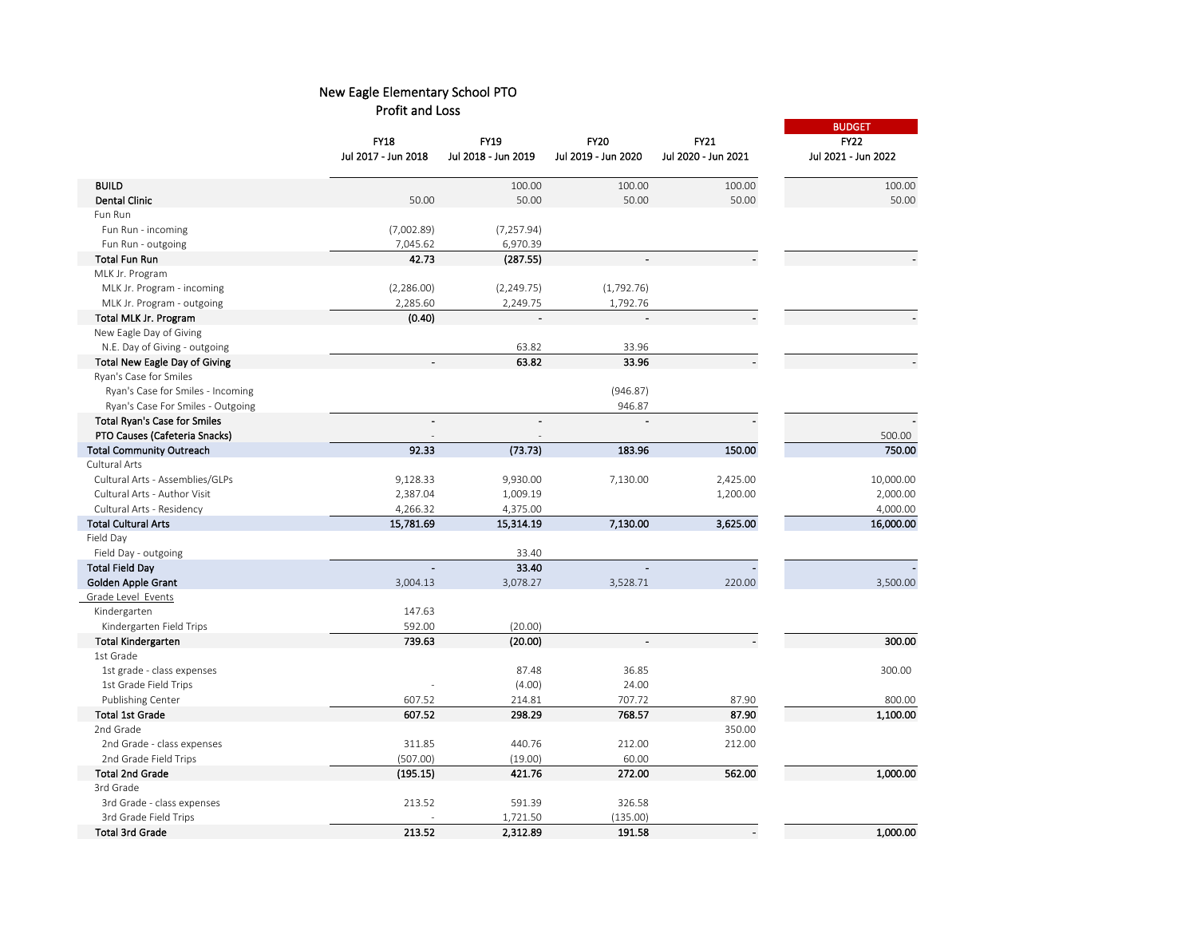|                                      | <b>FY18</b><br>Jul 2017 - Jun 2018 | FY19<br>Jul 2018 - Jun 2019 | <b>FY20</b><br>Jul 2019 - Jun 2020 | FY21<br>Jul 2020 - Jun 2021 | <b>BUDGET</b><br><b>FY22</b><br>Jul 2021 - Jun 2022 |
|--------------------------------------|------------------------------------|-----------------------------|------------------------------------|-----------------------------|-----------------------------------------------------|
|                                      |                                    |                             |                                    |                             |                                                     |
| <b>BUILD</b>                         |                                    | 100.00                      | 100.00                             | 100.00                      | 100.00                                              |
| Dental Clinic                        | 50.00                              | 50.00                       | 50.00                              | 50.00                       | 50.00                                               |
| Fun Run                              |                                    |                             |                                    |                             |                                                     |
| Fun Run - incoming                   | (7,002.89)                         | (7, 257.94)                 |                                    |                             |                                                     |
| Fun Run - outgoing                   | 7,045.62                           | 6,970.39                    |                                    |                             |                                                     |
| <b>Total Fun Run</b>                 | 42.73                              | (287.55)                    |                                    |                             |                                                     |
| MLK Jr. Program                      |                                    |                             |                                    |                             |                                                     |
| MLK Jr. Program - incoming           | (2,286.00)                         | (2, 249.75)                 | (1,792.76)                         |                             |                                                     |
| MLK Jr. Program - outgoing           | 2,285.60                           | 2,249.75                    | 1,792.76                           |                             |                                                     |
| Total MLK Jr. Program                | (0.40)                             |                             |                                    |                             |                                                     |
| New Eagle Day of Giving              |                                    |                             |                                    |                             |                                                     |
| N.E. Day of Giving - outgoing        |                                    | 63.82                       | 33.96                              |                             |                                                     |
| <b>Total New Eagle Day of Giving</b> |                                    | 63.82                       | 33.96                              |                             |                                                     |
| Ryan's Case for Smiles               |                                    |                             |                                    |                             |                                                     |
| Ryan's Case for Smiles - Incoming    |                                    |                             | (946.87)                           |                             |                                                     |
| Ryan's Case For Smiles - Outgoing    |                                    |                             | 946.87                             |                             |                                                     |
| <b>Total Ryan's Case for Smiles</b>  |                                    | $\blacksquare$              |                                    |                             |                                                     |
| PTO Causes (Cafeteria Snacks)        |                                    |                             |                                    |                             | 500.00                                              |
| <b>Total Community Outreach</b>      | 92.33                              | (73.73)                     | 183.96                             | 150.00                      | 750.00                                              |
| Cultural Arts                        |                                    |                             |                                    |                             |                                                     |
| Cultural Arts - Assemblies/GLPs      | 9,128.33                           | 9,930.00                    | 7,130.00                           | 2,425.00                    | 10,000.00                                           |
| Cultural Arts - Author Visit         | 2,387.04                           | 1,009.19                    |                                    | 1,200.00                    | 2,000.00                                            |
| Cultural Arts - Residency            | 4,266.32                           | 4,375.00                    |                                    |                             | 4,000.00                                            |
| <b>Total Cultural Arts</b>           | 15,781.69                          | 15,314.19                   | 7,130.00                           | 3,625.00                    | 16,000.00                                           |
| Field Day                            |                                    |                             |                                    |                             |                                                     |
| Field Day - outgoing                 |                                    | 33.40                       |                                    |                             |                                                     |
| <b>Total Field Day</b>               | $\blacksquare$                     | 33.40                       |                                    |                             |                                                     |
| Golden Apple Grant                   | 3,004.13                           | 3,078.27                    | 3,528.71                           | 220.00                      | 3,500.00                                            |
| Grade Level Events                   |                                    |                             |                                    |                             |                                                     |
| Kindergarten                         | 147.63                             |                             |                                    |                             |                                                     |
| Kindergarten Field Trips             | 592.00                             | (20.00)                     |                                    |                             |                                                     |
| <b>Total Kindergarten</b>            | 739.63                             | (20.00)                     |                                    |                             | 300.00                                              |
| 1st Grade                            |                                    |                             |                                    |                             |                                                     |
| 1st grade - class expenses           |                                    | 87.48                       | 36.85                              |                             | 300.00                                              |
| 1st Grade Field Trips                |                                    | (4.00)                      | 24.00                              |                             |                                                     |
| Publishing Center                    | 607.52                             | 214.81                      | 707.72                             | 87.90                       | 800.00                                              |
| <b>Total 1st Grade</b>               | 607.52                             | 298.29                      | 768.57                             | 87.90                       | 1,100.00                                            |
| 2nd Grade                            |                                    |                             |                                    | 350.00                      |                                                     |
| 2nd Grade - class expenses           | 311.85                             | 440.76                      | 212.00                             | 212.00                      |                                                     |
| 2nd Grade Field Trips                | (507.00)                           | (19.00)                     | 60.00                              |                             |                                                     |
| <b>Total 2nd Grade</b>               | (195.15)                           | 421.76                      | 272.00                             | 562.00                      | 1,000.00                                            |
| 3rd Grade                            |                                    |                             |                                    |                             |                                                     |
| 3rd Grade - class expenses           | 213.52                             | 591.39                      | 326.58                             |                             |                                                     |
| 3rd Grade Field Trips                |                                    | 1,721.50                    | (135.00)                           |                             |                                                     |
| <b>Total 3rd Grade</b>               | 213.52                             | 2,312.89                    | 191.58                             |                             | 1,000.00                                            |